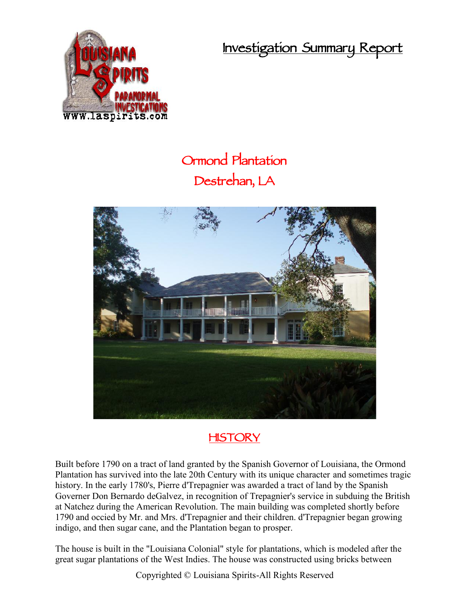**Investigation Summary Report**



## **Ormond Plantation Destrehan, LA**



## **HISTORY**

Built before 1790 on a tract of land granted by the Spanish Governor of Louisiana, the Ormond Plantation has survived into the late 20th Century with its unique character and sometimes tragic history. In the early 1780's, Pierre d'Trepagnier was awarded a tract of land by the Spanish Governer Don Bernardo deGalvez, in recognition of Trepagnier's service in subduing the British at Natchez during the American Revolution. The main building was completed shortly before 1790 and occied by Mr. and Mrs. d'Trepagnier and their children. d'Trepagnier began growing indigo, and then sugar cane, and the Plantation began to prosper.

The house is built in the "Louisiana Colonial" style for plantations, which is modeled after the great sugar plantations of the West Indies. The house was constructed using bricks between

Copyrighted © Louisiana Spirits-All Rights Reserved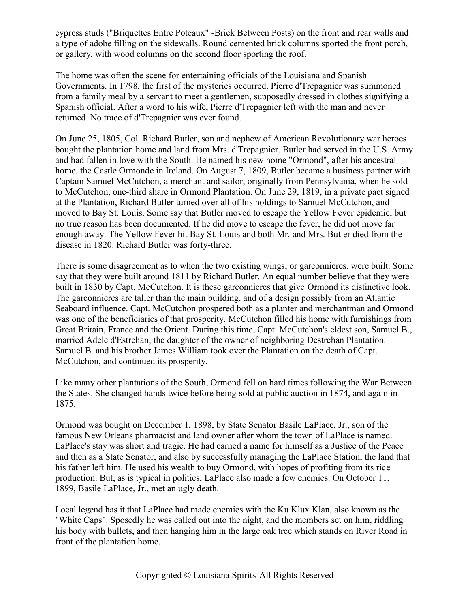cypress studs ("Briquettes Entre Poteaux" -Brick Between Posts) on the front and rear walls and a type of adobe filling on the sidewalls. Round cemented brick columns sported the front porch, or gallery, with wood columns on the second floor sporting the roof.

The home was often the scene for entertaining officials of the Louisiana and Spanish Governments. In 1798, the first of the mysteries occurred. Pierre d'Trepagnier was summoned from a family meal by a servant to meet a gentlemen, supposedly dressed in clothes signifying a Spanish official. After a word to his wife, Pierre d'Trepagnier left with the man and never returned. No trace of d'Trepagnier was ever found.

On June 25, 1805, Col. Richard Butler, son and nephew of American Revolutionary war heroes bought the plantation home and land from Mrs. d'Trepagnier. Butler had served in the U.S. Army and had fallen in love with the South. He named his new home "Ormond", after his ancestral home, the Castle Ormonde in Ireland. On August 7, 1809, Butler became a business partner with Captain Samuel McCutchon, a merchant and sailor, originally from Pennsylvania, when he sold to McCutchon, one-third share in Ormond Plantation. On June 29, 1819, in a private pact signed at the Plantation, Richard Butler turned over all of his holdings to Samuel McCutchon, and moved to Bay St. Louis. Some say that Butler moved to escape the Yellow Fever epidemic, but no true reason has been documented. If he did move to escape the fever, he did not move far enough away. The Yellow Fever hit Bay St. Louis and both Mr. and Mrs. Butler died from the disease in 1820. Richard Butler was forty-three.

There is some disagreement as to when the two existing wings, or garconnieres, were built. Some say that they were built around 1811 by Richard Butler. An equal number believe that they were built in 1830 by Capt. McCutchon. It is these garconnieres that give Ormond its distinctive look. The garconnieres are taller than the main building, and of a design possibly from an Atlantic Seaboard influence. Capt. McCutchon prospered both as a planter and merchantman and Ormond was one of the beneficiaries of that prosperity. McCutchon filled his home with furnishings from Great Britain, France and the Orient. During this time, Capt. McCutchon's eldest son, Samuel B., married Adele d'Estrehan, the daughter of the owner of neighboring Destrehan Plantation. Samuel B. and his brother James William took over the Plantation on the death of Capt. McCutchon, and continued its prosperity.

Like many other plantations of the South, Ormond fell on hard times following the War Between the States. She changed hands twice before being sold at public auction in 1874, and again in 1875.

Ormond was bought on December 1, 1898, by State Senator Basile LaPlace, Jr., son of the famous New Orleans pharmacist and land owner after whom the town of LaPlace is named. LaPlace's stay was short and tragic. He had earned a name for himself as a Justice of the Peace and then as a State Senator, and also by successfully managing the LaPlace Station, the land that his father left him. He used his wealth to buy Ormond, with hopes of profiting from its rice production. But, as is typical in politics, LaPlace also made a few enemies. On October 11, 1899, Basile LaPlace, Jr., met an ugly death.

Local legend has it that LaPlace had made enemies with the Ku Klux Klan, also known as the "White Caps". Sposedly he was called out into the night, and the members set on him, riddling his body with bullets, and then hanging him in the large oak tree which stands on River Road in front of the plantation home.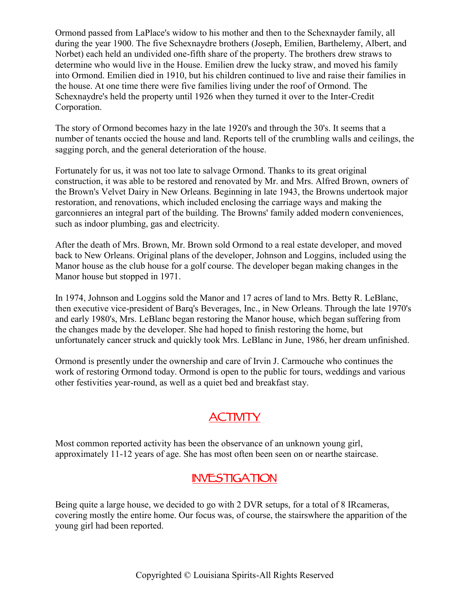Ormond passed from LaPlace's widow to his mother and then to the Schexnayder family, all during the year 1900. The five Schexnaydre brothers (Joseph, Emilien, Barthelemy, Albert, and Norbet) each held an undivided one-fifth share of the property. The brothers drew straws to determine who would live in the House. Emilien drew the lucky straw, and moved his family into Ormond. Emilien died in 1910, but his children continued to live and raise their families in the house. At one time there were five families living under the roof of Ormond. The Schexnaydre's held the property until 1926 when they turned it over to the Inter-Credit Corporation.

The story of Ormond becomes hazy in the late 1920's and through the 30's. It seems that a number of tenants occied the house and land. Reports tell of the crumbling walls and ceilings, the sagging porch, and the general deterioration of the house.

Fortunately for us, it was not too late to salvage Ormond. Thanks to its great original construction, it was able to be restored and renovated by Mr. and Mrs. Alfred Brown, owners of the Brown's Velvet Dairy in New Orleans. Beginning in late 1943, the Browns undertook major restoration, and renovations, which included enclosing the carriage ways and making the garconnieres an integral part of the building. The Browns' family added modern conveniences, such as indoor plumbing, gas and electricity.

After the death of Mrs. Brown, Mr. Brown sold Ormond to a real estate developer, and moved back to New Orleans. Original plans of the developer, Johnson and Loggins, included using the Manor house as the club house for a golf course. The developer began making changes in the Manor house but stopped in 1971.

In 1974, Johnson and Loggins sold the Manor and 17 acres of land to Mrs. Betty R. LeBlanc, then executive vice-president of Barq's Beverages, Inc., in New Orleans. Through the late 1970's and early 1980's, Mrs. LeBlanc began restoring the Manor house, which began suffering from the changes made by the developer. She had hoped to finish restoring the home, but unfortunately cancer struck and quickly took Mrs. LeBlanc in June, 1986, her dream unfinished.

Ormond is presently under the ownership and care of Irvin J. Carmouche who continues the work of restoring Ormond today. Ormond is open to the public for tours, weddings and various other festivities year-round, as well as a quiet bed and breakfast stay.

## **ACTIVITY**

Most common reported activity has been the observance of an unknown young girl, approximately 11-12 years of age. She has most often been seen on or nearthe staircase.

## **INVESTIGATION**

Being quite a large house, we decided to go with 2 DVR setups, for a total of 8 IRcameras, covering mostly the entire home. Our focus was, of course, the stairswhere the apparition of the young girl had been reported.